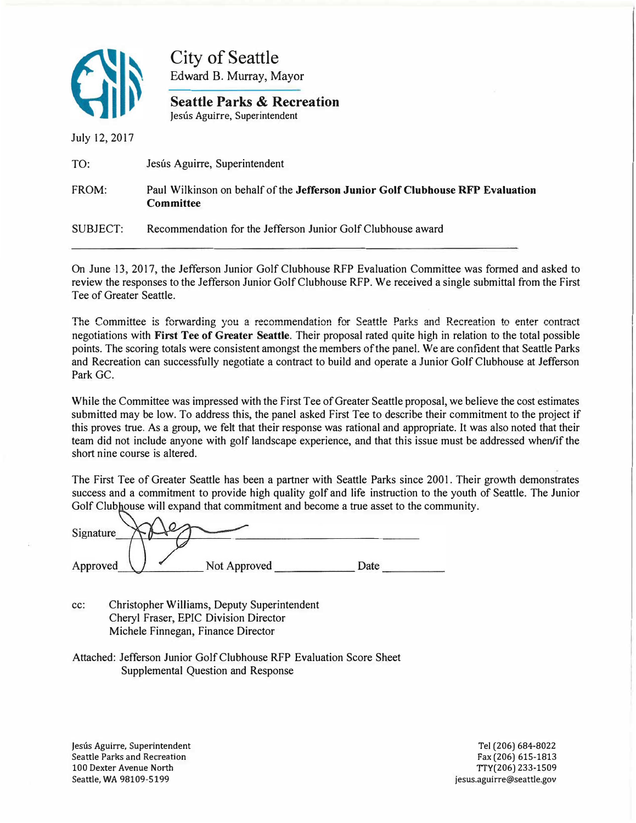

City of Seattle Edward B. Murray, Mayor

**Seattle Parks & Recreation**  Jesús Aguirre, Superintendent

July 12, 2017

| TO:      | Jesús Aguirre, Superintendent                                                                      |
|----------|----------------------------------------------------------------------------------------------------|
| FROM:    | Paul Wilkinson on behalf of the Jefferson Junior Golf Clubhouse RFP Evaluation<br><b>Committee</b> |
| SUBJECT: | Recommendation for the Jefferson Junior Golf Clubhouse award                                       |

On June 13, 2017, the Jefferson Junior Golf Clubhouse RFP Evaluation Committee was formed and asked to review the responses to the Jefferson Junior Golf Clubhouse RFP. We received a single submittal from the First Tee of Greater Seattle.

The Committee is forwarding you a recommendation for Seattle Parks and Recreation to enter contract negotiations with **First Tee of Greater Seattle.** Their proposal rated quite high in relation to the total possible points. The scoring totals were consistent amongst the members of the panel. We are confident that Seattle Parks and Recreation can successfully negotiate a contract to build and operate a Junior Golf Clubhouse at Jefferson Park GC.

While the Committee was impressed with the First Tee of Greater Seattle proposal, we believe the cost estimates submitted may be low. To address this, the panel asked First Tee to describe their commitment to the project if this proves true. As a group, we felt that their response was rational and appropriate. It was also noted that their team did not include anyone with golf landscape experience, and that this issue must be addressed when/if the short nine course is altered.

The First Tee of Greater Seattle has been a partner with Seattle Parks since 2001. Their growth demonstrates success and a commitment to provide high quality golf and life instruction to the youth of Seattle. The Junior Golf Clubhouse will expand that commitment and become a true asset to the community.

| Signature |              |      |  |
|-----------|--------------|------|--|
| Approved  | Not Approved | Date |  |

- cc: Christopher Williams, Deputy Superintendent Cheryl Fraser, EPIC Division Director Michele Finnegan, Finance Director
- Attached: Jefferson Junior Golf Clubhouse RFP Evaluation Score Sheet Supplemental Question and Response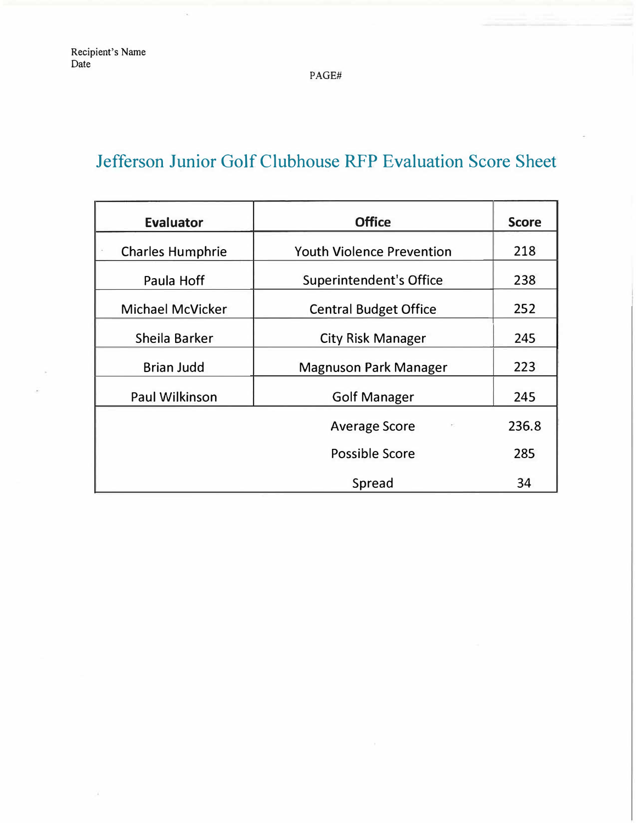PAGE#

## Jefferson Junior Golf Clubhouse RFP Evaluation Score Sheet

| <b>Evaluator</b>        | <b>Office</b>                    | <b>Score</b> |
|-------------------------|----------------------------------|--------------|
| <b>Charles Humphrie</b> | <b>Youth Violence Prevention</b> | 218          |
| Paula Hoff              | <b>Superintendent's Office</b>   | 238          |
| <b>Michael McVicker</b> | <b>Central Budget Office</b>     | 252          |
| Sheila Barker           | <b>City Risk Manager</b>         | 245          |
| <b>Brian Judd</b>       | <b>Magnuson Park Manager</b>     | 223          |
| <b>Paul Wilkinson</b>   | <b>Golf Manager</b>              | 245          |
|                         | <b>Average Score</b>             | 236.8        |
|                         | Possible Score                   | 285          |
|                         | Spread                           | 34           |